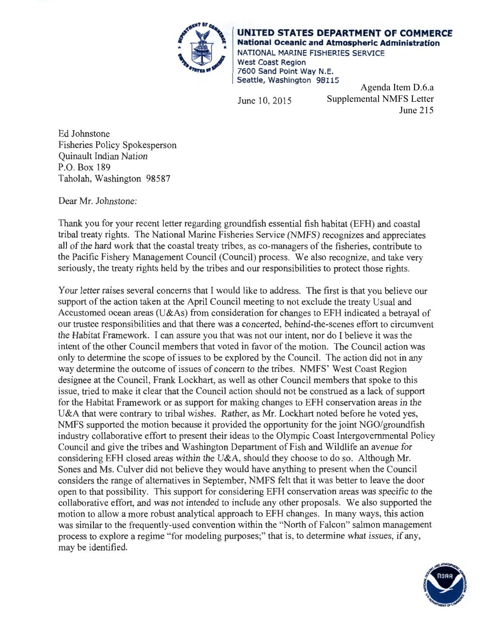

**UNITED STATES DEPARTMENT OF COMMERCE National Oceanic and Atmospheric Administration**  NATIONAL MARINE FISHERIES SERVICE West Coast Region 7600 Sand Point Way N.E. Seattle, Washington 98115

June 10, 2015

Agenda Item D.6.a Supplemental NMFS Letter June 215

Ed Johnstone Fisheries Policy Spokesperson Quinault Indian Nation P.O. Box 189 Taholah, Washington 98587

Dear Mr. Johnstone:

Thank you for your recent letter regarding groundfish essential fish habitat (EFH) and coastal tribal treaty rights. The National Marine Fisheries Service (NMFS) recognizes and appreciates all of the hard work that the coastal treaty tribes, as co-managers of the fisheries, contribute to the Pacific Fishery Management Council (Council) process. We also recognize, and take very seriously, the treaty rights held by the tribes and our responsibilities to protect those rights.

Your letter raises several concerns that I would like to address. The frrst is that you believe our support of the action taken at the April Council meeting to not exclude the treaty Usual and Accustomed ocean areas (U&As) from consideration for changes to EFH indicated a betrayal of our trustee responsibilities and that there was a concerted, behind-the-scenes effort to circumvent the Habitat Framework. I can assure you that was not our intent, nor do I believe it was the intent of the other Council members that voted in favor of the motion. The Council action was only to determine the scope of issues to be explored by the Council. The action did not in any way determine the outcome of issues of concern to the tribes. NMFS' West Coast Region designee at the Council, Frank Lockhart, as well as other Council members that spoke to this issue, tried to make it clear that the Council action should not be construed as a lack of support for the Habitat Framework or as support for making changes to EFH conservation areas in the U&A that were contrary to tribal wishes. Rather, as Mr. Lockhart noted before he voted yes, NMFS supported the motion because it provided the opportunity for the joint NGO/groundfish industry collaborative effort to present their ideas to the Olympic Coast Intergovernmental Policy Council and give the tribes and Washington Department of Fish and Wildlife an avenue for considering EFH closed areas within the U&A, should they choose to do so. Although Mr. Sones and Ms. Culver did not believe they would have anything to present when the Council considers the range of alternatives in September, NMFS felt that it was better to leave the door open to that possibility. This support for considering EFH conservation areas was specific to the collaborative effort, and was not intended to include any other proposals. We also supported the motion to allow a more robust analytical approach to EFH changes. In many ways, this action was similar to the frequently-used convention within the "North of Falcon" salmon management process to explore a regime "for modeling purposes;" that is, to determine what issues, if any, may be identified.